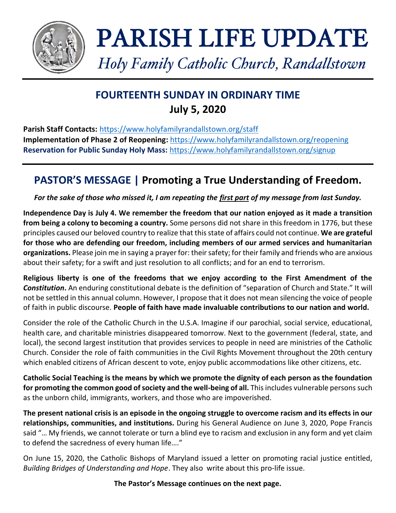

# PARISH LIFE UPDATE

*Holy Family Catholic Church, Randallstown*

# **FOURTEENTH SUNDAY IN ORDINARY TIME July 5, 2020**

**Parish Staff Contacts:** <https://www.holyfamilyrandallstown.org/staff> **Implementation of Phase 2 of Reopening:** <https://www.holyfamilyrandallstown.org/reopening> **Reservation for Public Sunday Holy Mass:** <https://www.holyfamilyrandallstown.org/signup>

# **PASTOR'S MESSAGE | Promoting a True Understanding of Freedom.**

*For the sake of those who missed it, I am repeating the first part of my message from last Sunday.*

**Independence Day is July 4. We remember the freedom that our nation enjoyed as it made a transition from being a colony to becoming a country.** Some persons did not share in this freedom in 1776, but these principles caused our beloved country to realize that this state of affairs could not continue. **We are grateful for those who are defending our freedom, including members of our armed services and humanitarian organizations.** Please join me in saying a prayer for: their safety; for their family and friends who are anxious about their safety; for a swift and just resolution to all conflicts; and for an end to terrorism.

**Religious liberty is one of the freedoms that we enjoy according to the First Amendment of the**  *Constitution***.** An enduring constitutional debate is the definition of "separation of Church and State." It will not be settled in this annual column. However, I propose that it does not mean silencing the voice of people of faith in public discourse. **People of faith have made invaluable contributions to our nation and world.**

Consider the role of the Catholic Church in the U.S.A. Imagine if our parochial, social service, educational, health care, and charitable ministries disappeared tomorrow. Next to the government (federal, state, and local), the second largest institution that provides services to people in need are ministries of the Catholic Church. Consider the role of faith communities in the Civil Rights Movement throughout the 20th century which enabled citizens of African descent to vote, enjoy public accommodations like other citizens, etc.

**Catholic Social Teaching is the means by which we promote the dignity of each person as the foundation for promoting the common good of society and the well-being of all.** This includes vulnerable persons such as the unborn child, immigrants, workers, and those who are impoverished.

**The present national crisis is an episode in the ongoing struggle to overcome racism and its effects in our relationships, communities, and institutions.** During his General Audience on June 3, 2020, Pope Francis said "… My friends, we cannot tolerate or turn a blind eye to racism and exclusion in any form and yet claim to defend the sacredness of every human life…."

On June 15, 2020, the Catholic Bishops of Maryland issued a letter on promoting racial justice entitled, *Building Bridges of Understanding and Hope*. They also write about this pro-life issue.

# **The Pastor's Message continues on the next page.**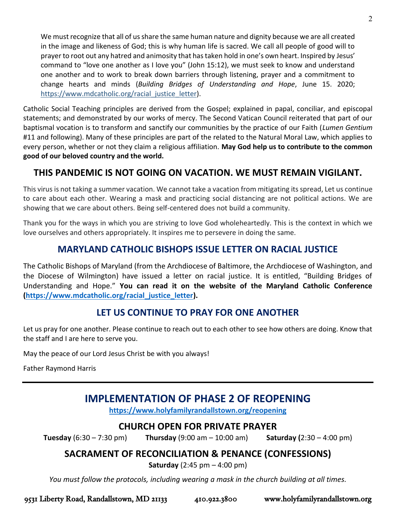We must recognize that all of us share the same human nature and dignity because we are all created in the image and likeness of God; this is why human life is sacred. We call all people of good will to prayer to root out any hatred and animosity that has taken hold in one's own heart. Inspired by Jesus' command to "love one another as I love you" (John 15:12), we must seek to know and understand one another and to work to break down barriers through listening, prayer and a commitment to change hearts and minds (*Building Bridges of Understanding and Hope*, June 15. 2020; [https://www.mdcatholic.org/racial\\_justice\\_letter\)](https://www.mdcatholic.org/racial_justice_letter).

Catholic Social Teaching principles are derived from the Gospel; explained in papal, conciliar, and episcopal statements; and demonstrated by our works of mercy. The Second Vatican Council reiterated that part of our baptismal vocation is to transform and sanctify our communities by the practice of our Faith (*Lumen Gentium*  #11 and following). Many of these principles are part of the related to the Natural Moral Law, which applies to every person, whether or not they claim a religious affiliation. **May God help us to contribute to the common good of our beloved country and the world.**

# **THIS PANDEMIC IS NOT GOING ON VACATION. WE MUST REMAIN VIGILANT.**

This virus is not taking a summer vacation. We cannot take a vacation from mitigating its spread, Let us continue to care about each other. Wearing a mask and practicing social distancing are not political actions. We are showing that we care about others. Being self-centered does not build a community.

Thank you for the ways in which you are striving to love God wholeheartedly. This is the context in which we love ourselves and others appropriately. It inspires me to persevere in doing the same.

# **MARYLAND CATHOLIC BISHOPS ISSUE LETTER ON RACIAL JUSTICE**

The Catholic Bishops of Maryland (from the Archdiocese of Baltimore, the Archdiocese of Washington, and the Diocese of Wilmington) have issued a letter on racial justice. It is entitled, "Building Bridges of Understanding and Hope." **You can read it on the website of the Maryland Catholic Conference [\(https://www.mdcatholic.org/racial\\_justice\\_letter\)](https://www.mdcatholic.org/racial_justice_letter).**

# **LET US CONTINUE TO PRAY FOR ONE ANOTHER**

Let us pray for one another. Please continue to reach out to each other to see how others are doing. Know that the staff and I are here to serve you.

May the peace of our Lord Jesus Christ be with you always!

Father Raymond Harris

# **IMPLEMENTATION OF PHASE 2 OF REOPENING**

**<https://www.holyfamilyrandallstown.org/reopening>**

# **CHURCH OPEN FOR PRIVATE PRAYER**

**Tuesday** (6:30 – 7:30 pm) **Thursday** (9:00 am – 10:00 am) **Saturday (**2:30 – 4:00 pm)

# **SACRAMENT OF RECONCILIATION & PENANCE (CONFESSIONS)**

**Saturday** (2:45 pm – 4:00 pm)

*You must follow the protocols, including wearing a mask in the church building at all times.*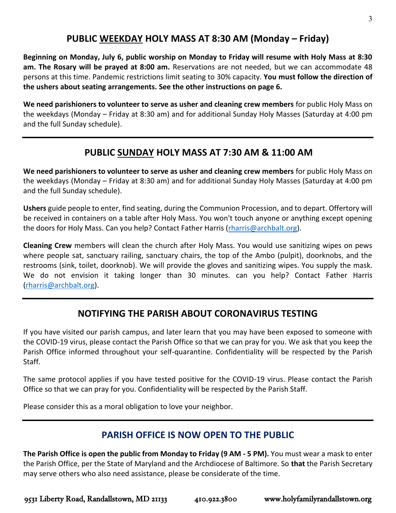# **PUBLIC WEEKDAY HOLY MASS AT 8:30 AM (Monday – Friday)**

**Beginning on Monday, July 6, public worship on Monday to Friday will resume with Holy Mass at 8:30 am. The Rosary will be prayed at 8:00 am.** Reservations are not needed, but we can accommodate 48 persons at this time. Pandemic restrictions limit seating to 30% capacity. **You must follow the direction of the ushers about seating arrangements. See the other instructions on page 6.**

**We need parishioners to volunteer to serve as usher and cleaning crew members** for public Holy Mass on the weekdays (Monday – Friday at 8:30 am) and for additional Sunday Holy Masses (Saturday at 4:00 pm and the full Sunday schedule).

# **PUBLIC SUNDAY HOLY MASS AT 7:30 AM & 11:00 AM**

**We need parishioners to volunteer to serve as usher and cleaning crew members** for public Holy Mass on the weekdays (Monday – Friday at 8:30 am) and for additional Sunday Holy Masses (Saturday at 4:00 pm and the full Sunday schedule).

**Ushers** guide people to enter, find seating, during the Communion Procession, and to depart. Offertory will be received in containers on a table after Holy Mass. You won't touch anyone or anything except opening the doors for Holy Mass. Can you help? Contact Father Harris [\(rharris@archbalt.org\)](mailto:rharris@archbalt.org).

**Cleaning Crew** members will clean the church after Holy Mass. You would use sanitizing wipes on pews where people sat, sanctuary railing, sanctuary chairs, the top of the Ambo (pulpit), doorknobs, and the restrooms (sink, toilet, doorknob). We will provide the gloves and sanitizing wipes. You supply the mask. We do not envision it taking longer than 30 minutes. can you help? Contact Father Harris [\(rharris@archbalt.org\)](mailto:rharris@archbalt.org).

# **NOTIFYING THE PARISH ABOUT CORONAVIRUS TESTING**

If you have visited our parish campus, and later learn that you may have been exposed to someone with the COVID-19 virus, please contact the Parish Office so that we can pray for you. We ask that you keep the Parish Office informed throughout your self-quarantine. Confidentiality will be respected by the Parish Staff.

The same protocol applies if you have tested positive for the COVID-19 virus. Please contact the Parish Office so that we can pray for you. Confidentiality will be respected by the Parish Staff.

Please consider this as a moral obligation to love your neighbor.

# **PARISH OFFICE IS NOW OPEN TO THE PUBLIC**

**The Parish Office is open the public from Monday to Friday (9 AM - 5 PM).** You must wear a mask to enter the Parish Office, per the State of Maryland and the Archdiocese of Baltimore. So **that** the Parish Secretary may serve others who also need assistance, please be considerate of the time.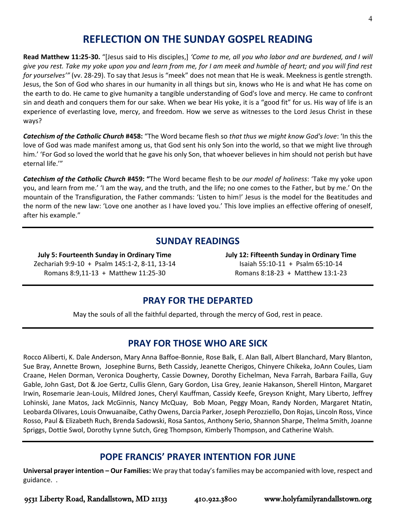# **REFLECTION ON THE SUNDAY GOSPEL READING**

**Read Matthew 11:25-30.** "[Jesus said to His disciples,] *'Come to me, all you who labor and are burdened, and I will give you rest. Take my yoke upon you and learn from me, for I am meek and humble of heart; and you will find rest for yourselves'"* (vv. 28-29). To say that Jesus is "meek" does not mean that He is weak. Meekness is gentle strength. Jesus, the Son of God who shares in our humanity in all things but sin, knows who He is and what He has come on the earth to do. He came to give humanity a tangible understanding of God's love and mercy. He came to confront sin and death and conquers them for our sake. When we bear His yoke, it is a "good fit" for us. His way of life is an experience of everlasting love, mercy, and freedom. How we serve as witnesses to the Lord Jesus Christ in these ways?

*Catechism of the Catholic Church* **#458:** "The Word became flesh so *that thus we might know God's love*: 'In this the love of God was made manifest among us, that God sent his only Son into the world, so that we might live through him.' 'For God so loved the world that he gave his only Son, that whoever believes in him should not perish but have eternal life.'"

*Catechism of the Catholic Church* **#459: "**The Word became flesh to be *our model of holiness*: 'Take my yoke upon you, and learn from me.' 'I am the way, and the truth, and the life; no one comes to the Father, but by me.' On the mountain of the Transfiguration, the Father commands: 'Listen to him!' Jesus is the model for the Beatitudes and the norm of the new law: 'Love one another as I have loved you.' This love implies an effective offering of oneself, after his example."

# **SUNDAY READINGS**

٦

**July 5: Fourteenth Sunday in Ordinary Time** Zechariah 9:9-10 + Psalm 145:1-2, 8-11, 13-14 Romans 8:9,11-13 + Matthew 11:25-30

**July 12: Fifteenth Sunday in Ordinary Time** Isaiah 55:10-11 + Psalm 65:10-14 Romans 8:18-23 + Matthew 13:1-23

# **PRAY FOR THE DEPARTED**

May the souls of all the faithful departed, through the mercy of God, rest in peace.

# **PRAY FOR THOSE WHO ARE SICK**

Rocco Aliberti, K. Dale Anderson, Mary Anna Baffoe-Bonnie, Rose Balk, E. Alan Ball, Albert Blanchard, Mary Blanton, Sue Bray, Annette Brown, Josephine Burns, Beth Cassidy, Jeanette Cherigos, Chinyere Chikeka, JoAnn Coules, Liam Craane, Helen Dorman, Veronica Dougherty, Cassie Downey, Dorothy Eichelman, Neva Farrah, Barbara Failla, Guy Gable, John Gast, Dot & Joe Gertz, Cullis Glenn, Gary Gordon, Lisa Grey, Jeanie Hakanson, Sherell Hinton, Margaret Irwin, Rosemarie Jean-Louis, Mildred Jones, Cheryl Kauffman, Cassidy Keefe, Greyson Knight, Mary Liberto, Jeffrey Lohinski, Jane Matos, Jack McGinnis, Nancy McQuay, Bob Moan, Peggy Moan, Randy Norden, Margaret Ntatin, Leobarda Olivares, Louis Onwuanaibe, Cathy Owens, Darcia Parker, Joseph Perozziello, Don Rojas, Lincoln Ross, Vince Rosso, Paul & Elizabeth Ruch, Brenda Sadowski, Rosa Santos, Anthony Serio, Shannon Sharpe, Thelma Smith, Joanne Spriggs, Dottie Swol, Dorothy Lynne Sutch, Greg Thompson, Kimberly Thompson, and Catherine Walsh.

# **POPE FRANCIS' PRAYER INTENTION FOR JUNE**

**Universal prayer intention – Our Families:** We pray that today's families may be accompanied with love, respect and guidance. .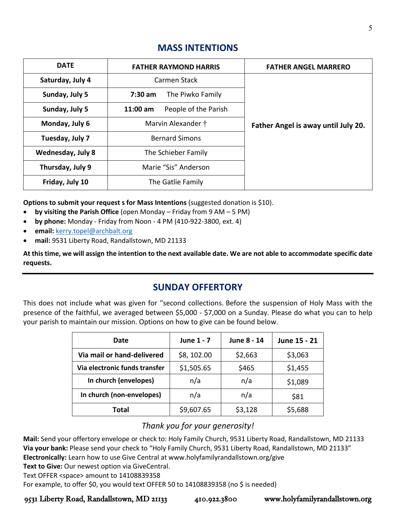| <b>DATE</b>              | <b>FATHER RAYMOND HARRIS</b>       | <b>FATHER ANGEL MARRERO</b>         |  |
|--------------------------|------------------------------------|-------------------------------------|--|
| Saturday, July 4         | Carmen Stack                       |                                     |  |
| Sunday, July 5           | $7:30$ am<br>The Piwko Family      |                                     |  |
| Sunday, July 5           | People of the Parish<br>$11:00$ am |                                     |  |
| Monday, July 6           | Marvin Alexander †                 | Father Angel is away until July 20. |  |
| Tuesday, July 7          | <b>Bernard Simons</b>              |                                     |  |
| <b>Wednesday, July 8</b> | The Schieber Family                |                                     |  |
| Thursday, July 9         | Marie "Sis" Anderson               |                                     |  |
| Friday, July 10          | The Gatlie Family                  |                                     |  |

# **MASS INTENTIONS**

**Options to submit your request s for Mass Intentions** (suggested donation is \$10).

- **by visiting the Parish Office** (open Monday Friday from 9 AM 5 PM)
- **by phone:** Monday Friday from Noon 4 PM (410-922-3800, ext. 4)
- **email:** [kerry.topel@archbalt.org](mailto:kerry.topel@archbalt.org)
- **mail:** 9531 Liberty Road, Randallstown, MD 21133

**At this time, we will assign the intention to the next available date. We are not able to accommodate specific date requests.**

# **SUNDAY OFFERTORY**

This does not include what was given for "second collections. Before the suspension of Holy Mass with the presence of the faithful, we averaged between \$5,000 - \$7,000 on a Sunday. Please do what you can to help your parish to maintain our mission. Options on how to give can be found below.

| Date                          | June 1 - 7 | June 8 - 14 | June 15 - 21 |
|-------------------------------|------------|-------------|--------------|
| Via mail or hand-delivered    | \$8,102.00 | \$2,663     | \$3,063      |
| Via electronic funds transfer | \$1,505.65 | \$465       | \$1,455      |
| In church (envelopes)         | n/a        | n/a         | \$1,089      |
| In church (non-envelopes)     | n/a        | n/a         | \$81         |
| Total                         | \$9,607.65 | \$3,128     | \$5,688      |

# *Thank you for your generosity!*

**Mail:** Send your offertory envelope or check to: Holy Family Church, 9531 Liberty Road, Randallstown, MD 21133 **Via your bank:** Please send your check to "Holy Family Church, 9531 Liberty Road, Randallstown, MD 21133" **Electronically:** Learn how to use Give Central at www.holyfamilyrandallstown.org/give

Text to Give: Our newest option via GiveCentral.

Text OFFER <space> amount to 14108839358

For example, to offer \$0, you would text OFFER 50 to 14108839358 (no \$ is needed)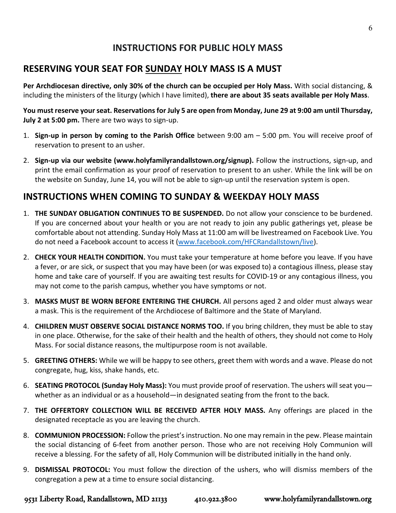# **INSTRUCTIONS FOR PUBLIC HOLY MASS**

# **RESERVING YOUR SEAT FOR SUNDAY HOLY MASS IS A MUST**

**Per Archdiocesan directive, only 30% of the church can be occupied per Holy Mass.** With social distancing, & including the ministers of the liturgy (which I have limited), **there are about 35 seats available per Holy Mass**.

You must reserve your seat. Reservations for July 5 are open from Monday, June 29 at 9:00 am until Thursday, **July 2 at 5:00 pm.** There are two ways to sign-up.

- 1. **Sign-up in person by coming to the Parish Office** between 9:00 am 5:00 pm. You will receive proof of reservation to present to an usher.
- 2. **Sign-up via our website (www.holyfamilyrandallstown.org/signup).** Follow the instructions, sign-up, and print the email confirmation as your proof of reservation to present to an usher. While the link will be on the website on Sunday, June 14, you will not be able to sign-up until the reservation system is open.

# **INSTRUCTIONS WHEN COMING TO SUNDAY & WEEKDAY HOLY MASS**

- 1. **THE SUNDAY OBLIGATION CONTINUES TO BE SUSPENDED.** Do not allow your conscience to be burdened. If you are concerned about your health or you are not ready to join any public gatherings yet, please be comfortable about not attending. Sunday Holy Mass at 11:00 am will be livestreamed on Facebook Live. You do not need a Facebook account to access it [\(www.facebook.com/HFCRandallstown/live\)](http://www.facebook.com/HFCRandallstown/live).
- 2. **CHECK YOUR HEALTH CONDITION.** You must take your temperature at home before you leave. If you have a fever, or are sick, or suspect that you may have been (or was exposed to) a contagious illness, please stay home and take care of yourself. If you are awaiting test results for COVID-19 or any contagious illness, you may not come to the parish campus, whether you have symptoms or not.
- 3. **MASKS MUST BE WORN BEFORE ENTERING THE CHURCH.** All persons aged 2 and older must always wear a mask. This is the requirement of the Archdiocese of Baltimore and the State of Maryland.
- 4. **CHILDREN MUST OBSERVE SOCIAL DISTANCE NORMS TOO.** If you bring children, they must be able to stay in one place. Otherwise, for the sake of their health and the health of others, they should not come to Holy Mass. For social distance reasons, the multipurpose room is not available.
- 5. **GREETING OTHERS:** While we will be happy to see others, greet them with words and a wave. Please do not congregate, hug, kiss, shake hands, etc.
- 6. **SEATING PROTOCOL (Sunday Holy Mass):** You must provide proof of reservation. The ushers will seat you whether as an individual or as a household—in designated seating from the front to the back.
- 7. **THE OFFERTORY COLLECTION WILL BE RECEIVED AFTER HOLY MASS.** Any offerings are placed in the designated receptacle as you are leaving the church.
- 8. **COMMUNION PROCESSION:** Follow the priest'sinstruction. No one may remain in the pew. Please maintain the social distancing of 6-feet from another person. Those who are not receiving Holy Communion will receive a blessing. For the safety of all, Holy Communion will be distributed initially in the hand only.
- 9. **DISMISSAL PROTOCOL:** You must follow the direction of the ushers, who will dismiss members of the congregation a pew at a time to ensure social distancing.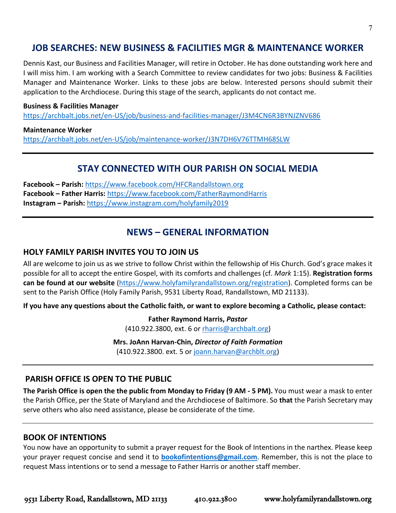# **JOB SEARCHES: NEW BUSINESS & FACILITIES MGR & MAINTENANCE WORKER**

Dennis Kast, our Business and Facilities Manager, will retire in October. He has done outstanding work here and I will miss him. I am working with a Search Committee to review candidates for two jobs: Business & Facilities Manager and Maintenance Worker. Links to these jobs are below. Interested persons should submit their application to the Archdiocese. During this stage of the search, applicants do not contact me.

#### **Business & Facilities Manager**

<https://archbalt.jobs.net/en-US/job/business-and-facilities-manager/J3M4CN6R3BYNJZNV686>

#### **Maintenance Worker**

<https://archbalt.jobs.net/en-US/job/maintenance-worker/J3N7DH6V76TTMH68SLW>

# **STAY CONNECTED WITH OUR PARISH ON SOCIAL MEDIA**

**Facebook – Parish:** <https://www.facebook.com/HFCRandallstown.org> **Facebook – Father Harris:** <https://www.facebook.com/FatherRaymondHarris> **Instagram – Parish:** <https://www.instagram.com/holyfamily2019>

# **NEWS – GENERAL INFORMATION**

#### **HOLY FAMILY PARISH INVITES YOU TO JOIN US**

All are welcome to join us as we strive to follow Christ within the fellowship of His Church. God's grace makes it possible for all to accept the entire Gospel, with its comforts and challenges (cf. *Mark* 1:15). **Registration forms can be found at our website** [\(https://www.holyfamilyrandallstown.org/registration\)](https://www.holyfamilyrandallstown.org/registration). Completed forms can be sent to the Parish Office (Holy Family Parish, 9531 Liberty Road, Randallstown, MD 21133).

**If you have any questions about the Catholic faith, or want to explore becoming a Catholic, please contact:**

**Father Raymond Harris,** *Pastor* (410.922.3800, ext. 6 o[r rharris@archbalt.org\)](mailto:rharris@archbalt.org)

**Mrs. JoAnn Harvan-Chin,** *Director of Faith Formation*

(410.922.3800. ext. 5 or [joann.harvan@archblt.org\)](mailto:joann.harvan@archblt.org)

#### **PARISH OFFICE IS OPEN TO THE PUBLIC**

**The Parish Office is open the the public from Monday to Friday (9 AM - 5 PM).** You must wear a mask to enter the Parish Office, per the State of Maryland and the Archdiocese of Baltimore. So **that** the Parish Secretary may serve others who also need assistance, please be considerate of the time.

#### **BOOK OF INTENTIONS**

You now have an opportunity to submit a prayer request for the Book of Intentions in the narthex. Please keep your prayer request concise and send it to **[bookofintentions@gmail.com](mailto:bookofintentions@gmail.com)**. Remember, this is not the place to request Mass intentions or to send a message to Father Harris or another staff member.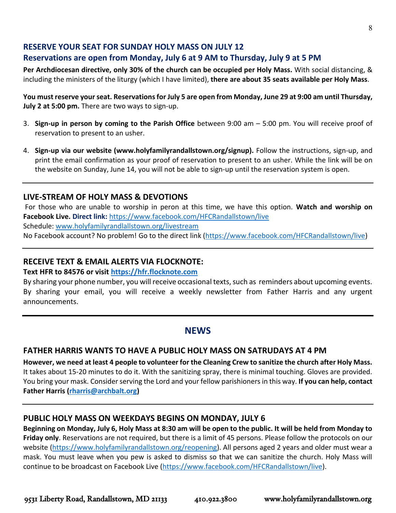#### **RESERVE YOUR SEAT FOR SUNDAY HOLY MASS ON JULY 12**

# **Reservations are open from Monday, July 6 at 9 AM to Thursday, July 9 at 5 PM**

**Per Archdiocesan directive, only 30% of the church can be occupied per Holy Mass.** With social distancing, & including the ministers of the liturgy (which I have limited), **there are about 35 seats available per Holy Mass**.

You must reserve your seat. Reservations for July 5 are open from Monday, June 29 at 9:00 am until Thursday, **July 2 at 5:00 pm.** There are two ways to sign-up.

- 3. **Sign-up in person by coming to the Parish Office** between 9:00 am 5:00 pm. You will receive proof of reservation to present to an usher.
- 4. **Sign-up via our website (www.holyfamilyrandallstown.org/signup).** Follow the instructions, sign-up, and print the email confirmation as your proof of reservation to present to an usher. While the link will be on the website on Sunday, June 14, you will not be able to sign-up until the reservation system is open.

#### **LIVE-STREAM OF HOLY MASS & DEVOTIONS**

For those who are unable to worship in peron at this time, we have this option. **Watch and worship on Facebook Live. Direct link:** <https://www.facebook.com/HFCRandallstown/live> Schedule: [www.holyfamilyrandlallstown.org/livestream](http://www.holyfamilyrandlallstown.org/livestream) No Facebook account? No problem! Go to the direct link [\(https://www.facebook.com/HFCRandallstown/live\)](https://www.facebook.com/HFCRandallstown/live)

#### **RECEIVE TEXT & EMAIL ALERTS VIA FLOCKNOTE:**

#### **Text HFR to 84576 or visit [https://hfr.flocknote.com](https://hfr.flocknote.com/)**

By sharing your phone number, you will receive occasional texts, such as reminders about upcoming events. By sharing your email, you will receive a weekly newsletter from Father Harris and any urgent announcements.

# **NEWS**

#### **FATHER HARRIS WANTS TO HAVE A PUBLIC HOLY MASS ON SATRUDAYS AT 4 PM**

**However, we need at least 4 people to volunteer for the Cleaning Crew to sanitize the church after Holy Mass.**  It takes about 15-20 minutes to do it. With the sanitizing spray, there is minimal touching. Gloves are provided. You bring your mask. Consider serving the Lord and your fellow parishioners in this way. **If you can help, contact Father Harris [\(rharris@archbalt.org\)](mailto:rharris@archbalt.org)**

#### **PUBLIC HOLY MASS ON WEEKDAYS BEGINS ON MONDAY, JULY 6**

**Beginning on Monday, July 6, Holy Mass at 8:30 am will be open to the public. It will be held from Monday to Friday only**. Reservations are not required, but there is a limit of 45 persons. Please follow the protocols on our website [\(https://www.holyfamilyrandallstown.org/reopening\)](https://www.holyfamilyrandallstown.org/reopening). All persons aged 2 years and older must wear a mask. You must leave when you pew is asked to dismiss so that we can sanitize the church. Holy Mass will continue to be broadcast on Facebook Live [\(https://www.facebook.com/HFCRandallstown/live\)](https://www.facebook.com/HFCRandallstown/live).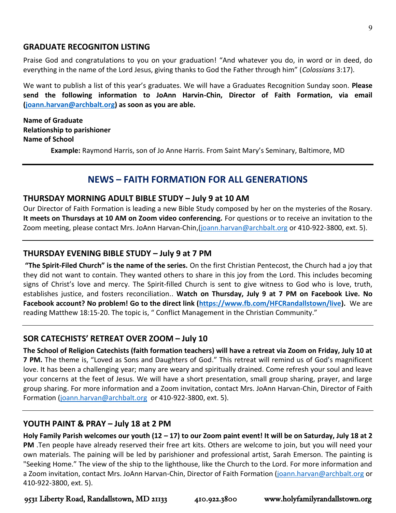#### **GRADUATE RECOGNITON LISTING**

Praise God and congratulations to you on your graduation! "And whatever you do, in word or in deed, do everything in the name of the Lord Jesus, giving thanks to God the Father through him" (*Colossians* 3:17).

We want to publish a list of this year's graduates. We will have a Graduates Recognition Sunday soon. **Please send the following information to JoAnn Harvin-Chin, Director of Faith Formation, via email [\(joann.harvan@archbalt.org\)](mailto:joann.harvan@archbalt.org) as soon as you are able.**

**Name of Graduate Relationship to parishioner Name of School**

**Example:** Raymond Harris, son of Jo Anne Harris. From Saint Mary's Seminary, Baltimore, MD

# **NEWS – FAITH FORMATION FOR ALL GENERATIONS**

#### **THURSDAY MORNING ADULT BIBLE STUDY – July 9 at 10 AM**

Our Director of Faith Formation is leading a new Bible Study composed by her on the mysteries of the Rosary. **It meets on Thursdays at 10 AM on Zoom video conferencing.** For questions or to receive an invitation to the Zoom meeting, please contact Mrs. JoAnn Harvan-Chin, [\(joann.harvan@archbalt.org](mailto:joann.harvan@archbalt.org) or 410-922-3800, ext. 5).

#### **THURSDAY EVENING BIBLE STUDY – July 9 at 7 PM**

**"The Spirit-Filed Church" is the name of the series.** On the first Christian Pentecost, the Church had a joy that they did not want to contain. They wanted others to share in this joy from the Lord. This includes becoming signs of Christ's love and mercy. The Spirit-filled Church is sent to give witness to God who is love, truth, establishes justice, and fosters reconciliation.. **Watch on Thursday, July 9 at 7 PM on Facebook Live. No Facebook account? No problem! Go to the direct link [\(https://www.fb.com/HFCRandallstown/live\)](https://www.fb.com/HFCRandallstown/live).** We are reading Matthew 18:15-20. The topic is, " Conflict Management in the Christian Community."

#### **SOR CATECHISTS' RETREAT OVER ZOOM – July 10**

**The School of Religion Catechists (faith formation teachers) will have a retreat via Zoom on Friday, July 10 at 7 PM.** The theme is, "Loved as Sons and Daughters of God." This retreat will remind us of God's magnificent love. It has been a challenging year; many are weary and spiritually drained. Come refresh your soul and leave your concerns at the feet of Jesus. We will have a short presentation, small group sharing, prayer, and large group sharing. For more information and a Zoom invitation, contact Mrs. JoAnn Harvan-Chin, Director of Faith Formation [\(joann.harvan@archbalt.org](mailto:joann.harvan@archbalt.org) or 410-922-3800, ext. 5).

#### **YOUTH PAINT & PRAY – July 18 at 2 PM**

**Holy Family Parish welcomes our youth (12 – 17) to our Zoom paint event! It will be on Saturday, July 18 at 2 PM** .Ten people have already reserved their free art kits. Others are welcome to join, but you will need your own materials. The paining will be led by parishioner and professional artist, Sarah Emerson. The painting is "Seeking Home." The view of the ship to the lighthouse, like the Church to the Lord. For more information and a Zoom invitation, contact Mrs. JoAnn Harvan-Chin, Director of Faith Formation [\(joann.harvan@archbalt.org](mailto:joann.harvan@archbalt.org) or 410-922-3800, ext. 5).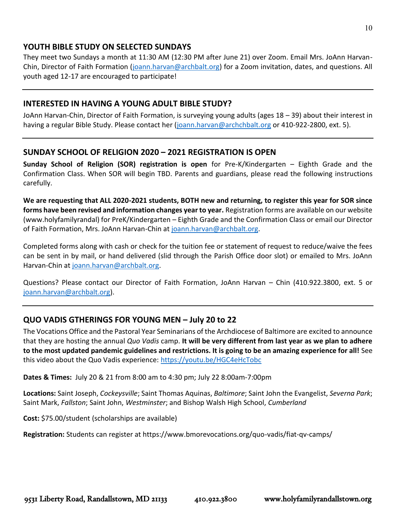#### **YOUTH BIBLE STUDY ON SELECTED SUNDAYS**

They meet two Sundays a month at 11:30 AM (12:30 PM after June 21) over Zoom. Email Mrs. JoAnn Harvan-Chin, Director of Faith Formation [\(joann.harvan@archbalt.org\)](mailto:joann.harvan@archbalt.org) for a Zoom invitation, dates, and questions. All youth aged 12-17 are encouraged to participate!

### **INTERESTED IN HAVING A YOUNG ADULT BIBLE STUDY?**

JoAnn Harvan-Chin, Director of Faith Formation, is surveying young adults (ages 18 – 39) about their interest in having a regular Bible Study. Please contact her [\(joann.harvan@archchbalt.org](mailto:joann.harvan@archchbalt.org) or 410-922-2800, ext. 5).

#### **SUNDAY SCHOOL OF RELIGION 2020 – 2021 REGISTRATION IS OPEN**

**Sunday School of Religion (SOR) registration is open** for Pre-K/Kindergarten – Eighth Grade and the Confirmation Class. When SOR will begin TBD. Parents and guardians, please read the following instructions carefully.

**We are requesting that ALL 2020-2021 students, BOTH new and returning, to register this year for SOR since forms have been revised and information changes year to year.** Registration forms are available on our website (www.holyfamilyrandal) for PreK/Kindergarten – Eighth Grade and the Confirmation Class or email our Director of Faith Formation, Mrs. JoAnn Harvan-Chin at [joann.harvan@archbalt.org.](mailto:joann.harvan@archbalt.org)

Completed forms along with cash or check for the tuition fee or statement of request to reduce/waive the fees can be sent in by mail, or hand delivered (slid through the Parish Office door slot) or emailed to Mrs. JoAnn Harvan-Chin at [joann.harvan@archbalt.org.](mailto:joann.harvan@archbalt.org)

Questions? Please contact our Director of Faith Formation, JoAnn Harvan – Chin (410.922.3800, ext. 5 or [joann.harvan@archbalt.org\)](mailto:joann.harvan@archbalt.org).

# **QUO VADIS GTHERINGS FOR YOUNG MEN – July 20 to 22**

The Vocations Office and the Pastoral Year Seminarians of the Archdiocese of Baltimore are excited to announce that they are hosting the annual *Quo Vadis* camp. **It will be very different from last year as we plan to adhere to the most updated pandemic guidelines and restrictions. It is going to be an amazing experience for all!** See this video about the Quo Vadis experience:<https://youtu.be/HGC4eHcTobc>

**Dates & Times:** July 20 & 21 from 8:00 am to 4:30 pm; July 22 8:00am-7:00pm

**Locations:** Saint Joseph, *Cockeysville*; Saint Thomas Aquinas, *Baltimore*; Saint John the Evangelist, *Severna Park*; Saint Mark, *Fallston*; Saint John, *Westminster*; and Bishop Walsh High School, *Cumberland*

**Cost:** \$75.00/student (scholarships are available)

**Registration:** Students can register at https://www.bmorevocations.org/quo-vadis/fiat-qv-camps/